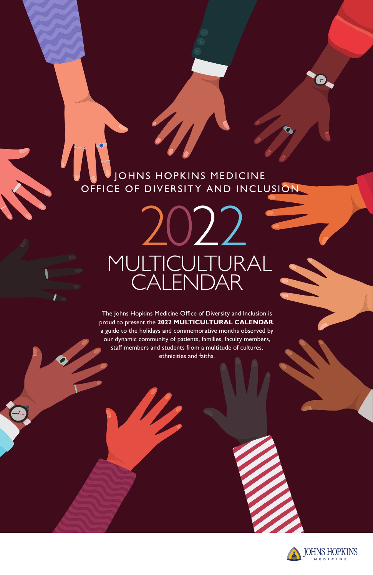The Johns Hopkins Medicine Office of Diversity and Inclusion is proud to present the **2022 MULTICULTURAL CALENDAR**, a guide to the holidays and commemorative months observed by our dynamic community of patients, families, faculty members, staff members and students from a multitude of cultures, ethnicities and faiths.





# JOHNS HOPKINS MEDICINE OFFICE OF DIVERSITY AND INCLUSION

2022 MULTICULTURAL CALENDAR